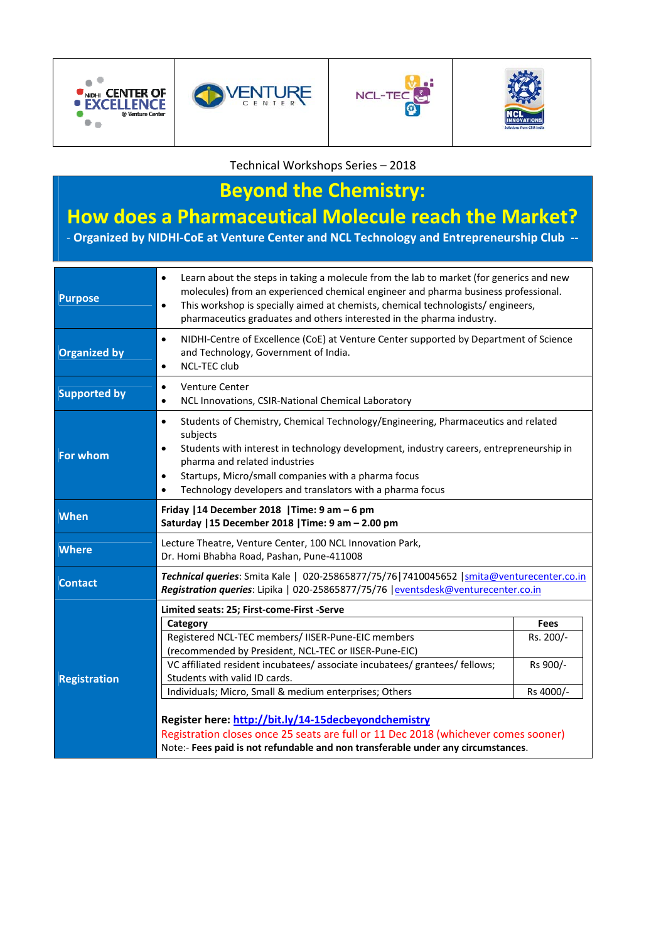







Technical Workshops Series – 2018

# **Beyond the Chemistry:**

## **How does a Pharmaceutical Molecule reach the Market?**

‐ **Organized by NIDHI‐CoE at Venture Center and NCL Technology and Entrepreneurship Club ‐‐**

| <b>Purpose</b>      | Learn about the steps in taking a molecule from the lab to market (for generics and new<br>$\bullet$<br>molecules) from an experienced chemical engineer and pharma business professional.<br>This workshop is specially aimed at chemists, chemical technologists/engineers,<br>$\bullet$<br>pharmaceutics graduates and others interested in the pharma industry.                               |             |
|---------------------|---------------------------------------------------------------------------------------------------------------------------------------------------------------------------------------------------------------------------------------------------------------------------------------------------------------------------------------------------------------------------------------------------|-------------|
| <b>Organized by</b> | NIDHI-Centre of Excellence (CoE) at Venture Center supported by Department of Science<br>$\bullet$<br>and Technology, Government of India.<br><b>NCL-TEC club</b><br>$\bullet$                                                                                                                                                                                                                    |             |
| <b>Supported by</b> | <b>Venture Center</b><br>$\bullet$<br>NCL Innovations, CSIR-National Chemical Laboratory<br>$\bullet$                                                                                                                                                                                                                                                                                             |             |
| For whom            | Students of Chemistry, Chemical Technology/Engineering, Pharmaceutics and related<br>$\bullet$<br>subjects<br>Students with interest in technology development, industry careers, entrepreneurship in<br>$\bullet$<br>pharma and related industries<br>Startups, Micro/small companies with a pharma focus<br>$\bullet$<br>Technology developers and translators with a pharma focus<br>$\bullet$ |             |
| When                | Friday   14 December 2018   Time: 9 am - 6 pm<br>Saturday   15 December 2018   Time: 9 am - 2.00 pm                                                                                                                                                                                                                                                                                               |             |
| <b>Where</b>        | Lecture Theatre, Venture Center, 100 NCL Innovation Park,<br>Dr. Homi Bhabha Road, Pashan, Pune-411008                                                                                                                                                                                                                                                                                            |             |
| <b>Contact</b>      | Technical queries: Smita Kale   020-25865877/75/76 7410045652   smita@venturecenter.co.in<br>Registration queries: Lipika   020-25865877/75/76   eventsdesk@venturecenter.co.in                                                                                                                                                                                                                   |             |
|                     | Limited seats: 25; First-come-First -Serve                                                                                                                                                                                                                                                                                                                                                        |             |
|                     | Category                                                                                                                                                                                                                                                                                                                                                                                          | <b>Fees</b> |
|                     | Registered NCL-TEC members/ IISER-Pune-EIC members<br>(recommended by President, NCL-TEC or IISER-Pune-EIC)                                                                                                                                                                                                                                                                                       | Rs. 200/-   |
| <b>Registration</b> | VC affiliated resident incubatees/associate incubatees/grantees/fellows;<br>Students with valid ID cards.                                                                                                                                                                                                                                                                                         | Rs 900/-    |
|                     | Individuals; Micro, Small & medium enterprises; Others                                                                                                                                                                                                                                                                                                                                            | Rs 4000/-   |
|                     | Register here: http://bit.ly/14-15decbeyondchemistry<br>Registration closes once 25 seats are full or 11 Dec 2018 (whichever comes sooner)<br>Note:- Fees paid is not refundable and non transferable under any circumstances.                                                                                                                                                                    |             |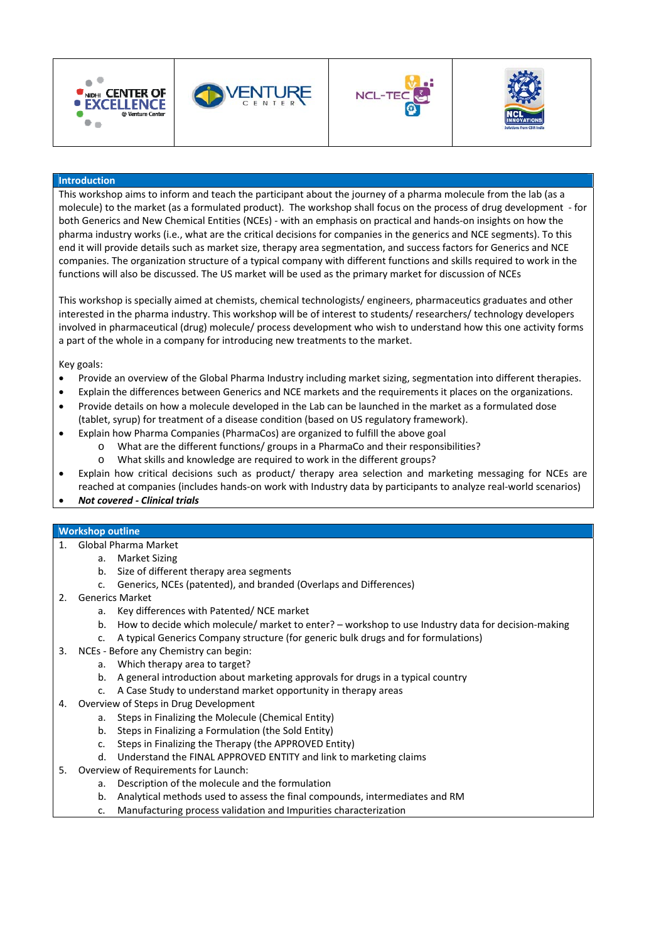







#### **Introduction**

This workshop aims to inform and teach the participant about the journey of a pharma molecule from the lab (as a molecule) to the market (as a formulated product). The workshop shall focus on the process of drug development ‐ for both Generics and New Chemical Entities (NCEs) ‐ with an emphasis on practical and hands‐on insights on how the pharma industry works (i.e., what are the critical decisions for companies in the generics and NCE segments). To this end it will provide details such as market size, therapy area segmentation, and success factors for Generics and NCE companies. The organization structure of a typical company with different functions and skills required to work in the functions will also be discussed. The US market will be used as the primary market for discussion of NCEs

This workshop is specially aimed at chemists, chemical technologists/ engineers, pharmaceutics graduates and other interested in the pharma industry. This workshop will be of interest to students/ researchers/ technology developers involved in pharmaceutical (drug) molecule/ process development who wish to understand how this one activity forms a part of the whole in a company for introducing new treatments to the market.

Key goals:

- Provide an overview of the Global Pharma Industry including market sizing, segmentation into different therapies.
- Explain the differences between Generics and NCE markets and the requirements it places on the organizations.
- Provide details on how a molecule developed in the Lab can be launched in the market as a formulated dose (tablet, syrup) for treatment of a disease condition (based on US regulatory framework).
- Explain how Pharma Companies (PharmaCos) are organized to fulfill the above goal
	- o What are the different functions/ groups in a PharmaCo and their responsibilities?
	- o What skills and knowledge are required to work in the different groups?
- Explain how critical decisions such as product/ therapy area selection and marketing messaging for NCEs are reached at companies (includes hands‐on work with Industry data by participants to analyze real‐world scenarios)
- *Not covered ‐ Clinical trials*

#### **Workshop outline**

- 1. Global Pharma Market
	- a. Market Sizing
	- b. Size of different therapy area segments
	- c. Generics, NCEs (patented), and branded (Overlaps and Differences)
- 2. Generics Market
	- a. Key differences with Patented/ NCE market
	- b. How to decide which molecule/ market to enter? workshop to use Industry data for decision‐making
		- c. A typical Generics Company structure (for generic bulk drugs and for formulations)
- 3. NCEs ‐ Before any Chemistry can begin:
	- a. Which therapy area to target?
	- b. A general introduction about marketing approvals for drugs in a typical country
	- c. A Case Study to understand market opportunity in therapy areas
- 4. Overview of Steps in Drug Development
	- a. Steps in Finalizing the Molecule (Chemical Entity)
	- b. Steps in Finalizing a Formulation (the Sold Entity)
	- c. Steps in Finalizing the Therapy (the APPROVED Entity)
	- d. Understand the FINAL APPROVED ENTITY and link to marketing claims
- 5. Overview of Requirements for Launch:
	- a. Description of the molecule and the formulation
	- b. Analytical methods used to assess the final compounds, intermediates and RM
	- c. Manufacturing process validation and Impurities characterization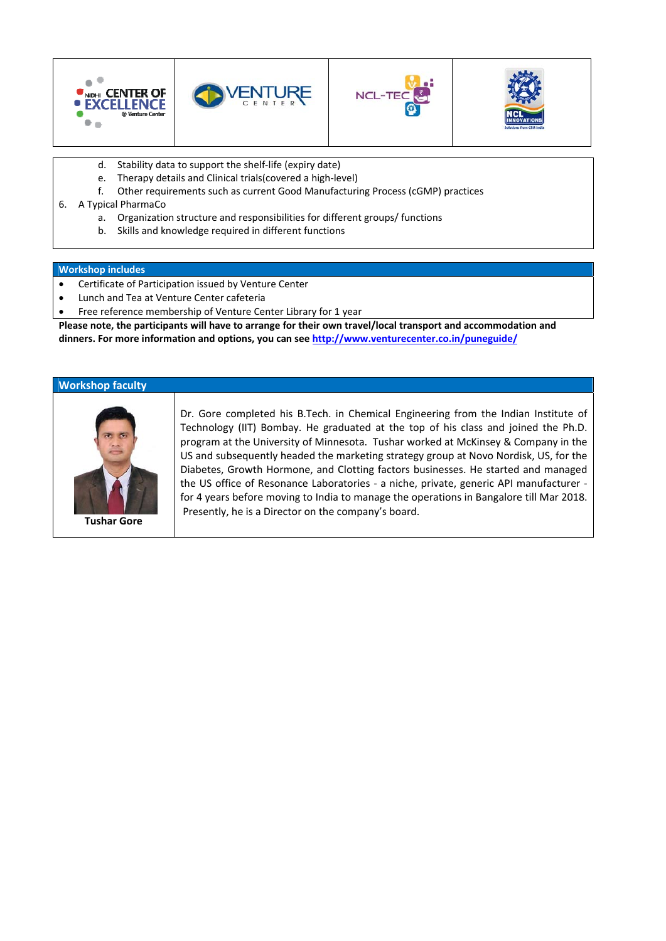

- d. Stability data to support the shelf‐life (expiry date)
- e. Therapy details and Clinical trials(covered a high‐level)
- f. Other requirements such as current Good Manufacturing Process (cGMP) practices
- 6. A Typical PharmaCo
	- a. Organization structure and responsibilities for different groups/ functions
	- b. Skills and knowledge required in different functions

#### **Workshop includes**

- Certificate of Participation issued by Venture Center
- Lunch and Tea at Venture Center cafeteria
- Free reference membership of Venture Center Library for 1 year

**Please note, the participants will have to arrange for their own travel/local transport and accommodation and dinners. For more information and options, you can see http://www.venturecenter.co.in/puneguide/**

#### **Workshop faculty**



**Tushar Gore**

Dr. Gore completed his B.Tech. in Chemical Engineering from the Indian Institute of Technology (IIT) Bombay. He graduated at the top of his class and joined the Ph.D. program at the University of Minnesota. Tushar worked at McKinsey & Company in the US and subsequently headed the marketing strategy group at Novo Nordisk, US, for the Diabetes, Growth Hormone, and Clotting factors businesses. He started and managed the US office of Resonance Laboratories - a niche, private, generic API manufacturer for 4 years before moving to India to manage the operations in Bangalore till Mar 2018. Presently, he is a Director on the company's board.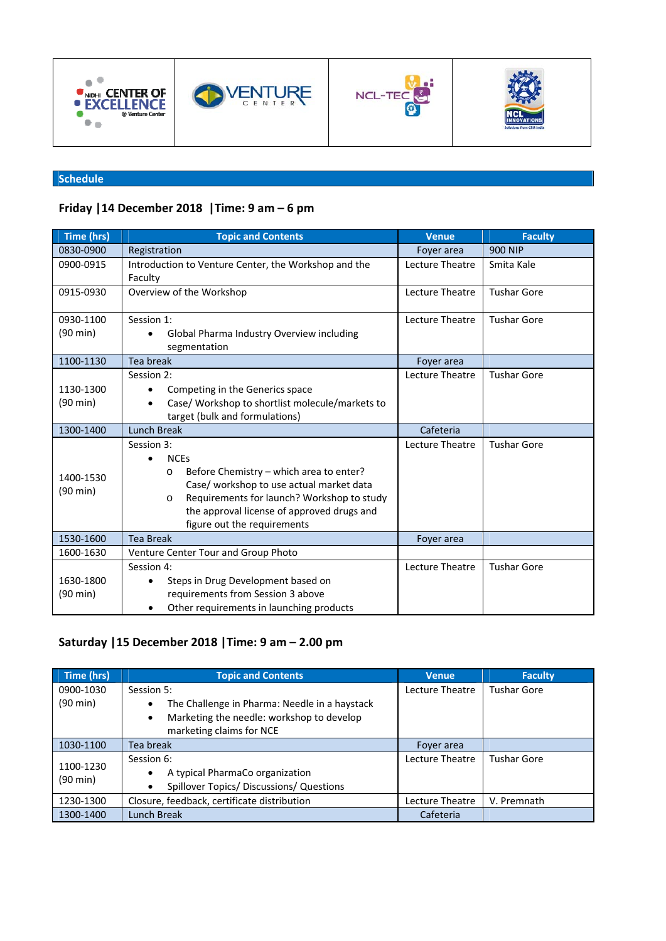







### **Schedule**

## **Friday |14 December 2018 |Time: 9 am – 6 pm**

| Time (hrs)            | <b>Topic and Contents</b>                                                                                                                                                                                                                                                | <b>Venue</b>    | <b>Faculty</b>     |
|-----------------------|--------------------------------------------------------------------------------------------------------------------------------------------------------------------------------------------------------------------------------------------------------------------------|-----------------|--------------------|
| 0830-0900             | Registration                                                                                                                                                                                                                                                             | Foyer area      | <b>900 NIP</b>     |
| 0900-0915             | Introduction to Venture Center, the Workshop and the<br>Faculty                                                                                                                                                                                                          | Lecture Theatre | Smita Kale         |
| 0915-0930             | Overview of the Workshop                                                                                                                                                                                                                                                 | Lecture Theatre | <b>Tushar Gore</b> |
| 0930-1100             | Session 1:                                                                                                                                                                                                                                                               | Lecture Theatre | <b>Tushar Gore</b> |
| (90 min)              | Global Pharma Industry Overview including<br>$\bullet$<br>segmentation                                                                                                                                                                                                   |                 |                    |
| 1100-1130             | Tea break                                                                                                                                                                                                                                                                | Foyer area      |                    |
| 1130-1300<br>(90 min) | Session 2:<br>Competing in the Generics space<br>٠<br>Case/ Workshop to shortlist molecule/markets to<br>$\bullet$<br>target (bulk and formulations)                                                                                                                     | Lecture Theatre | <b>Tushar Gore</b> |
| 1300-1400             | Lunch Break                                                                                                                                                                                                                                                              | Cafeteria       |                    |
| 1400-1530<br>(90 min) | Session 3:<br><b>NCEs</b><br>$\bullet$<br>Before Chemistry - which area to enter?<br>O<br>Case/ workshop to use actual market data<br>Requirements for launch? Workshop to study<br>$\circ$<br>the approval license of approved drugs and<br>figure out the requirements | Lecture Theatre | <b>Tushar Gore</b> |
| 1530-1600             | <b>Tea Break</b>                                                                                                                                                                                                                                                         | Foyer area      |                    |
| 1600-1630             | Venture Center Tour and Group Photo                                                                                                                                                                                                                                      |                 |                    |
| 1630-1800<br>(90 min) | Session 4:<br>Steps in Drug Development based on<br>requirements from Session 3 above<br>Other requirements in launching products<br>٠                                                                                                                                   | Lecture Theatre | <b>Tushar Gore</b> |

### **Saturday |15 December 2018 |Time: 9 am – 2.00 pm**

| Time (hrs)            | <b>Topic and Contents</b>                                  | <b>Venue</b>    | <b>Faculty</b>     |
|-----------------------|------------------------------------------------------------|-----------------|--------------------|
| 0900-1030             | Session 5:                                                 | Lecture Theatre | Tushar Gore        |
| (90 min)              | The Challenge in Pharma: Needle in a haystack<br>$\bullet$ |                 |                    |
|                       | Marketing the needle: workshop to develop<br>$\bullet$     |                 |                    |
|                       | marketing claims for NCE                                   |                 |                    |
| 1030-1100             | Tea break                                                  | Fover area      |                    |
| 1100-1230<br>(90 min) | Session 6:                                                 | Lecture Theatre | <b>Tushar Gore</b> |
|                       | A typical PharmaCo organization<br>$\bullet$               |                 |                    |
|                       | Spillover Topics/ Discussions/ Questions<br>$\bullet$      |                 |                    |
| 1230-1300             | Closure, feedback, certificate distribution                | Lecture Theatre | V. Premnath        |
| 1300-1400             | Lunch Break                                                | Cafeteria       |                    |